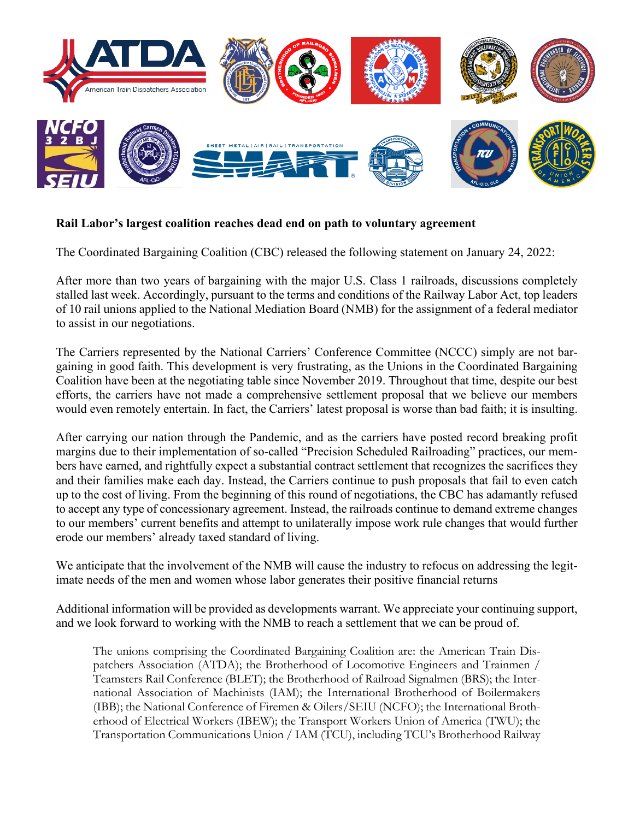

## **Rail Labor's largest coalition reaches dead end on path to voluntary agreement**

The Coordinated Bargaining Coalition (CBC) released the following statement on January 24, 2022:

After more than two years of bargaining with the major U.S. Class 1 railroads, discussions completely stalled last week. Accordingly, pursuant to the terms and conditions of the Railway Labor Act, top leaders of 10 rail unions applied to the National Mediation Board (NMB) for the assignment of a federal mediator to assist in our negotiations.

The Carriers represented by the National Carriers' Conference Committee (NCCC) simply are not bargaining in good faith. This development is very frustrating, as the Unions in the Coordinated Bargaining Coalition have been at the negotiating table since November 2019. Throughout that time, despite our best efforts, the carriers have not made a comprehensive settlement proposal that we believe our members would even remotely entertain. In fact, the Carriers' latest proposal is worse than bad faith; it is insulting.

After carrying our nation through the Pandemic, and as the carriers have posted record breaking profit margins due to their implementation of so-called "Precision Scheduled Railroading" practices, our members have earned, and rightfully expect a substantial contract settlement that recognizes the sacrifices they and their families make each day. Instead, the Carriers continue to push proposals that fail to even catch up to the cost of living. From the beginning of this round of negotiations, the CBC has adamantly refused to accept any type of concessionary agreement. Instead, the railroads continue to demand extreme changes to our members' current benefits and attempt to unilaterally impose work rule changes that would further erode our members' already taxed standard of living.

We anticipate that the involvement of the NMB will cause the industry to refocus on addressing the legitimate needs of the men and women whose labor generates their positive financial returns

Additional information will be provided as developments warrant. We appreciate your continuing support, and we look forward to working with the NMB to reach a settlement that we can be proud of.

The unions comprising the Coordinated Bargaining Coalition are: the American Train Dispatchers Association (ATDA); the Brotherhood of Locomotive Engineers and Trainmen / Teamsters Rail Conference (BLET); the Brotherhood of Railroad Signalmen (BRS); the International Association of Machinists (IAM); the International Brotherhood of Boilermakers (IBB); the National Conference of Firemen & Oilers/SEIU (NCFO); the International Brotherhood of Electrical Workers (IBEW); the Transport Workers Union of America (TWU); the Transportation Communications Union / IAM (TCU), including TCU's Brotherhood Railway